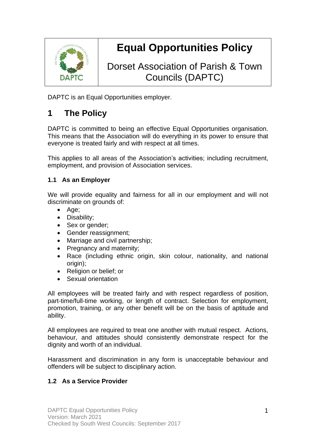

# **Equal Opportunities Policy**

Dorset Association of Parish & Town Councils (DAPTC)

DAPTC is an Equal Opportunities employer.

# **1 The Policy**

DAPTC is committed to being an effective Equal Opportunities organisation. This means that the Association will do everything in its power to ensure that everyone is treated fairly and with respect at all times.

This applies to all areas of the Association's activities; including recruitment, employment, and provision of Association services.

#### **1.1 As an Employer**

We will provide equality and fairness for all in our employment and will not discriminate on grounds of:

- Age;
- Disability;
- Sex or gender:
- Gender reassignment;
- Marriage and civil partnership;
- Pregnancy and maternity;
- Race (including ethnic origin, skin colour, nationality, and national origin);
- Religion or belief; or
- Sexual orientation

All employees will be treated fairly and with respect regardless of position, part-time/full-time working, or length of contract. Selection for employment, promotion, training, or any other benefit will be on the basis of aptitude and ability.

All employees are required to treat one another with mutual respect. Actions, behaviour, and attitudes should consistently demonstrate respect for the dignity and worth of an individual.

Harassment and discrimination in any form is unacceptable behaviour and offenders will be subject to disciplinary action.

### **1.2 As a Service Provider**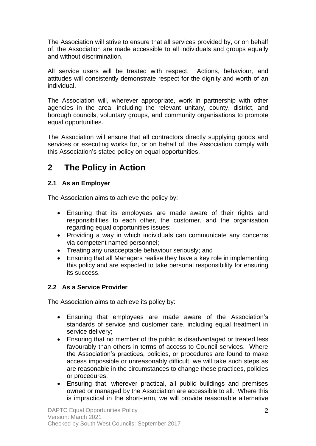The Association will strive to ensure that all services provided by, or on behalf of, the Association are made accessible to all individuals and groups equally and without discrimination.

All service users will be treated with respect. Actions, behaviour, and attitudes will consistently demonstrate respect for the dignity and worth of an individual.

The Association will, wherever appropriate, work in partnership with other agencies in the area; including the relevant unitary, county, district, and borough councils, voluntary groups, and community organisations to promote equal opportunities.

The Association will ensure that all contractors directly supplying goods and services or executing works for, or on behalf of, the Association comply with this Association's stated policy on equal opportunities.

### **2 The Policy in Action**

#### **2.1 As an Employer**

The Association aims to achieve the policy by:

- Ensuring that its employees are made aware of their rights and responsibilities to each other, the customer, and the organisation regarding equal opportunities issues;
- Providing a way in which individuals can communicate any concerns via competent named personnel;
- Treating any unacceptable behaviour seriously; and
- Ensuring that all Managers realise they have a key role in implementing this policy and are expected to take personal responsibility for ensuring its success.

### **2.2 As a Service Provider**

The Association aims to achieve its policy by:

- Ensuring that employees are made aware of the Association's standards of service and customer care, including equal treatment in service delivery;
- Ensuring that no member of the public is disadvantaged or treated less favourably than others in terms of access to Council services. Where the Association's practices, policies, or procedures are found to make access impossible or unreasonably difficult, we will take such steps as are reasonable in the circumstances to change these practices, policies or procedures;
- Ensuring that, wherever practical, all public buildings and premises owned or managed by the Association are accessible to all. Where this is impractical in the short-term, we will provide reasonable alternative